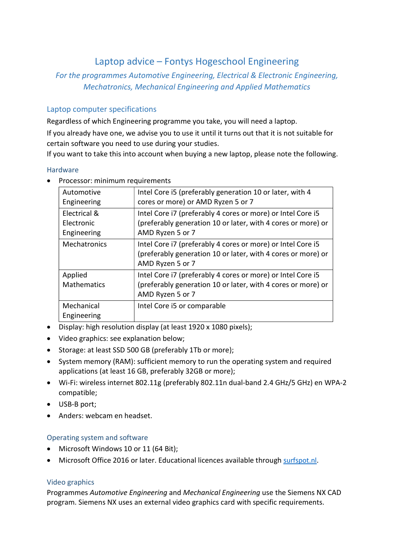# Laptop advice – Fontys Hogeschool Engineering

## For the programmes Automotive Engineering, Electrical & Electronic Engineering, Mechatronics, Mechanical Engineering and Applied Mathematics

## Laptop computer specifications

Regardless of which Engineering programme you take, you will need a laptop.

If you already have one, we advise you to use it until it turns out that it is not suitable for certain software you need to use during your studies.

If you want to take this into account when buying a new laptop, please note the following.

#### Hardware

| Automotive   | Intel Core i5 (preferably generation 10 or later, with 4                                                                                        |
|--------------|-------------------------------------------------------------------------------------------------------------------------------------------------|
| Engineering  | cores or more) or AMD Ryzen 5 or 7                                                                                                              |
| Electrical & | Intel Core i7 (preferably 4 cores or more) or Intel Core i5                                                                                     |
| Electronic   | (preferably generation 10 or later, with 4 cores or more) or                                                                                    |
| Engineering  | AMD Ryzen 5 or 7                                                                                                                                |
| Mechatronics | Intel Core i7 (preferably 4 cores or more) or Intel Core i5<br>(preferably generation 10 or later, with 4 cores or more) or<br>AMD Ryzen 5 or 7 |
| Applied      | Intel Core i7 (preferably 4 cores or more) or Intel Core i5                                                                                     |
| Mathematics  | (preferably generation 10 or later, with 4 cores or more) or                                                                                    |
|              | AMD Ryzen 5 or 7                                                                                                                                |
| Mechanical   | Intel Core i5 or comparable                                                                                                                     |
| Engineering  |                                                                                                                                                 |
|              |                                                                                                                                                 |

**Processor: minimum requirements** 

- Display: high resolution display (at least 1920 x 1080 pixels);
- Video graphics: see explanation below;
- Storage: at least SSD 500 GB (preferably 1Tb or more);
- System memory (RAM): sufficient memory to run the operating system and required applications (at least 16 GB, preferably 32GB or more);
- Wi-Fi: wireless internet 802.11g (preferably 802.11n dual-band 2.4 GHz/5 GHz) en WPA-2 compatible;
- USB-B port;
- Anders: webcam en headset.

## Operating system and software

- Microsoft Windows 10 or 11 (64 Bit);
- Microsoft Office 2016 or later. Educational licences available through surfspot.nl.

#### Video graphics

Programmes Automotive Engineering and Mechanical Engineering use the Siemens NX CAD program. Siemens NX uses an external video graphics card with specific requirements.